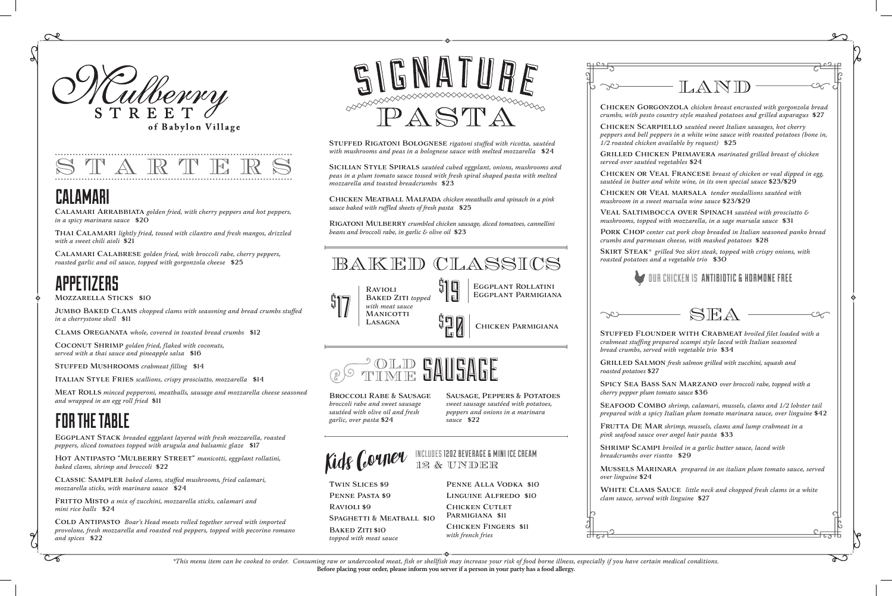# CALAMARI

# APPETIZERS

# FOR THE TABLE

Calamari Arrabbiata *golden fried, with cherry peppers and hot peppers, in a spicy marinara sauce* \$20

THAI CALAMARI *lightly fried, tossed with cilantro and fresh mangos, drizzled with a sweet chili aioli* \$21

Calamari Calabrese *golden fried, with broccoli rabe, cherry peppers, roasted garlic and oil sauce, topped with gorgonzola cheese* \$25

### Mozzarella Sticks \$10

Jumbo Baked Clams *chopped clams with seasoning and bread crumbs stuffed in a cherrystone shell* \$11

Clams Oreganata *whole, covered in toasted bread crumbs* \$12

Coconut Shrimp *golden fried, flaked with coconuts, served with a thai sauce and pineapple salsa* \$16

Stuffed Mushrooms *crabmeat filling* \$14

Italian Style Fries *scallions, crispy prosciutto, mozzarella* \$14

COLD ANTIPASTO *Boar's Head meats rolled together served with imported provolone, fresh mozzarella and roasted red peppers, topped with pecorino romano and spices* \$22



Meat Rolls *minced pepperoni, meatballs, sausage and mozzarella cheese seasoned and wrapped in an egg roll fried* \$11

Eggplant Stack *breaded eggplant layered with fresh mozzarella, roasted peppers, sliced tomatoes topped with arugula and balsamic glaze* \$17

Hot Antipasto "Mulberry Street" *manicotti, eggplant rollatini, baked clams, shrimp and broccoli* \$22

Classic Sampler *baked clams, stuffed mushrooms, fried calamari, mozzarella sticks, with marinara sauce* \$24

Fritto Misto *a mix of zucchini, mozzarella sticks, calamari and mini rice balls* \$24

Broccoli Rabe & Sausage *broccoli rabe and sweet sausage sautéed with olive oil and fresh garlic, over pasta* \$24



**MANICOTTI LASAGNA** 

INCLUDES 12OZ BEVERAGE & MINI ICE CREAM Kids Couner Includes 1202 BEVERAGE & MI

Twin Slices \$9 Penne Pasta \$9 Ravioli \$9 SPAGHETTI & MEATBALL \$10

BAKED ZITI \$10 *topped with meat sauce* **t**<br>9 20

*roasted potatoes* \$27

*breadcrumbs over risotto* \$29

*over linguine* \$24

 $\infty$ 

 $\Omega$ 



Stuffed Rigatoni Bolognese *rigatoni stuffed with ricotta, sautéed with mushrooms and peas in a bolognese sauce with melted mozzarella* \$24

Sicilian Style Spirals *sautéed cubed eggplant, onions, mushrooms and peas in a plum tomato sauce tossed with fresh spiral shaped pasta with melted mozzarella and toasted breadcrumbs* \$23

Chicken Meatball Malfada *chicken meatballs and spinach in a pink sauce baked with ruffled sheets of fresh pasta* \$25

Rigatoni Mulberry *crumbled chicken sausage, diced tomatoes, cannellini beans and broccoli rabe, in garlic & olive oil* \$23

\$ 17





Sausage, Peppers & Potatoes *sweet sausage sautéed with potatoes,* 

*peppers and onions in a marinara sauce* \$22



Baked Ziti *topped with meat sauce* 19

Penne Alla Vodka \$10 Linguine Alfredo \$10 **CHICKEN CUTLET** Parmigiana \$11 Chicken Fingers \$11 *with french fries*

| $\Box$ $\Box$ $\Box$ |  |
|----------------------|--|
|                      |  |
|                      |  |
|                      |  |
|                      |  |
|                      |  |
|                      |  |

Eggplant Parmigiana



*\*This menu item can be cooked to order. Consuming raw or undercooked meat, fish or shellfish may increase your risk of food borne illness, especially if you have certain medical conditions.* **Before placing your order, please inform you server if a person in your party has a food allergy.**